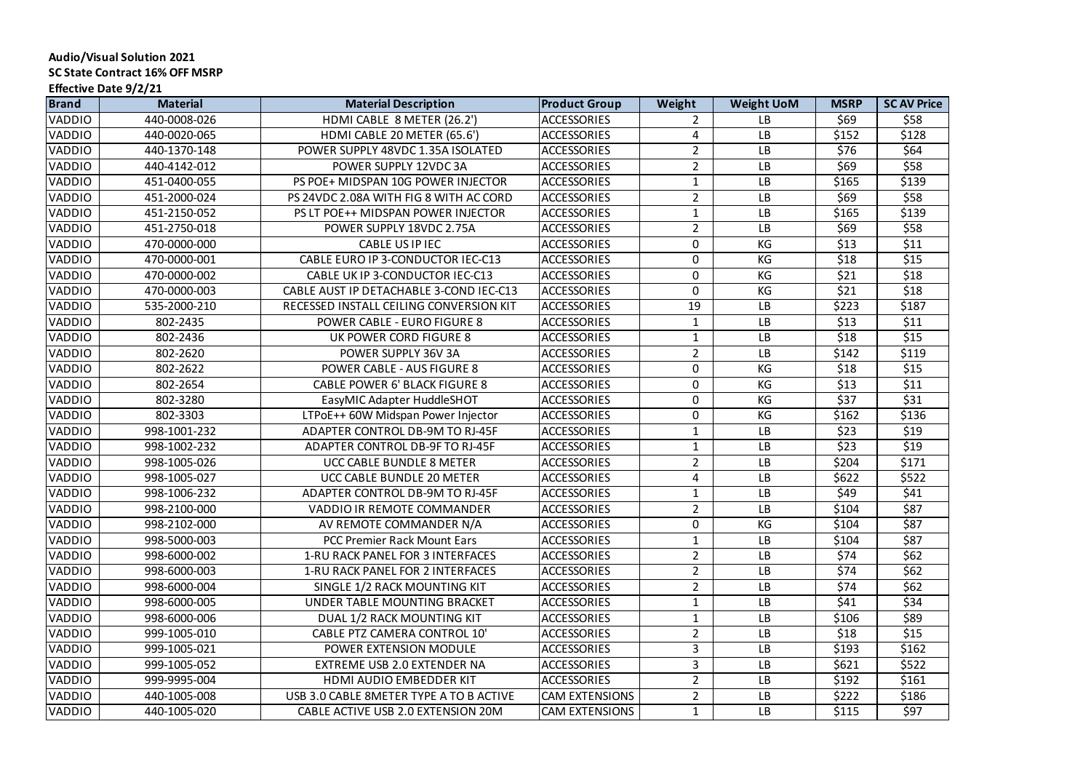| <b>Brand</b>  | <b>Material</b> | <b>Material Description</b>             | <b>Product Group</b>  | Weight         | <b>Weight UoM</b> | <b>MSRP</b> | <b>SCAV Price</b> |
|---------------|-----------------|-----------------------------------------|-----------------------|----------------|-------------------|-------------|-------------------|
| <b>VADDIO</b> | 440-0008-026    | HDMI CABLE 8 METER (26.2')              | <b>ACCESSORIES</b>    | $\overline{2}$ | <b>LB</b>         | \$69        | \$58              |
| <b>VADDIO</b> | 440-0020-065    | HDMI CABLE 20 METER (65.6')             | <b>ACCESSORIES</b>    | 4              | <b>LB</b>         | \$152       | \$128             |
| <b>VADDIO</b> | 440-1370-148    | POWER SUPPLY 48VDC 1.35A ISOLATED       | <b>ACCESSORIES</b>    | $\overline{2}$ | <b>LB</b>         | \$76        | \$64              |
| <b>VADDIO</b> | 440-4142-012    | POWER SUPPLY 12VDC 3A                   | <b>ACCESSORIES</b>    | $\overline{2}$ | <b>LB</b>         | \$69        | \$58              |
| <b>VADDIO</b> | 451-0400-055    | PS POE+ MIDSPAN 10G POWER INJECTOR      | <b>ACCESSORIES</b>    | 1              | <b>LB</b>         | \$165       | \$139             |
| <b>VADDIO</b> | 451-2000-024    | PS 24VDC 2.08A WITH FIG 8 WITH AC CORD  | <b>ACCESSORIES</b>    | $\overline{2}$ | <b>LB</b>         | \$69        | \$58              |
| <b>VADDIO</b> | 451-2150-052    | PS LT POE++ MIDSPAN POWER INJECTOR      | <b>ACCESSORIES</b>    |                | <b>LB</b>         | \$165       | \$139             |
| <b>VADDIO</b> | 451-2750-018    | POWER SUPPLY 18VDC 2.75A                | <b>ACCESSORIES</b>    | $\overline{2}$ | <b>LB</b>         | \$69        | \$58              |
| VADDIO        | 470-0000-000    | <b>CABLE US IP IEC</b>                  | <b>ACCESSORIES</b>    | 0              | KG                | \$13        | \$11              |
| <b>VADDIO</b> | 470-0000-001    | CABLE EURO IP 3-CONDUCTOR IEC-C13       | <b>ACCESSORIES</b>    | 0              | KG                | \$18        | \$15              |
| <b>VADDIO</b> | 470-0000-002    | CABLE UK IP 3-CONDUCTOR IEC-C13         | <b>ACCESSORIES</b>    | $\Omega$       | KG                | \$21        | \$18              |
| <b>VADDIO</b> | 470-0000-003    | CABLE AUST IP DETACHABLE 3-COND IEC-C13 | <b>ACCESSORIES</b>    | $\overline{0}$ | KG                | \$21        | \$18              |
| <b>VADDIO</b> | 535-2000-210    | RECESSED INSTALL CEILING CONVERSION KIT | <b>ACCESSORIES</b>    | 19             | <b>LB</b>         | \$223       | \$187             |
| <b>VADDIO</b> | 802-2435        | <b>POWER CABLE - EURO FIGURE 8</b>      | <b>ACCESSORIES</b>    |                | <b>LB</b>         | \$13        | \$11              |
| VADDIO        | 802-2436        | UK POWER CORD FIGURE 8                  | <b>ACCESSORIES</b>    |                | <b>LB</b>         | \$18        | \$15              |
| <b>VADDIO</b> | 802-2620        | POWER SUPPLY 36V 3A                     | <b>ACCESSORIES</b>    | $\overline{2}$ | <b>LB</b>         | \$142       | \$119             |
| <b>VADDIO</b> | 802-2622        | <b>POWER CABLE - AUS FIGURE 8</b>       | <b>ACCESSORIES</b>    | $\overline{0}$ | KG                | \$18        | \$15              |
| <b>VADDIO</b> | 802-2654        | <b>CABLE POWER 6' BLACK FIGURE 8</b>    | <b>ACCESSORIES</b>    | $\overline{0}$ | KG                | \$13        | \$11              |
| <b>VADDIO</b> | 802-3280        | EasyMIC Adapter HuddleSHOT              | <b>ACCESSORIES</b>    | $\overline{0}$ | KG                | \$37        | \$31              |
| <b>VADDIO</b> | 802-3303        | LTPoE++ 60W Midspan Power Injector      | <b>ACCESSORIES</b>    | $\overline{0}$ | KG                | \$162       | \$136             |
| VADDIO        | 998-1001-232    | ADAPTER CONTROL DB-9M TO RJ-45F         | <b>ACCESSORIES</b>    |                | <b>LB</b>         | \$23        | \$19              |
| <b>VADDIO</b> | 998-1002-232    | ADAPTER CONTROL DB-9F TO RJ-45F         | <b>ACCESSORIES</b>    | 1              | <b>LB</b>         | \$23        | \$19              |
| <b>VADDIO</b> | 998-1005-026    | <b>UCC CABLE BUNDLE 8 METER</b>         | <b>ACCESSORIES</b>    | $\overline{2}$ | <b>LB</b>         | \$204       | \$171             |
| <b>VADDIO</b> | 998-1005-027    | UCC CABLE BUNDLE 20 METER               | <b>ACCESSORIES</b>    | 4              | <b>LB</b>         | \$622       | \$522             |
| <b>VADDIO</b> | 998-1006-232    | ADAPTER CONTROL DB-9M TO RJ-45F         | <b>ACCESSORIES</b>    |                | LB                | \$49        | \$41              |
| <b>VADDIO</b> | 998-2100-000    | <b>VADDIO IR REMOTE COMMANDER</b>       | <b>ACCESSORIES</b>    | $2^{\circ}$    | <b>LB</b>         | \$104       | \$87              |
| <b>VADDIO</b> | 998-2102-000    | AV REMOTE COMMANDER N/A                 | <b>ACCESSORIES</b>    | 0              | KG                | \$104       | \$87              |
| <b>VADDIO</b> | 998-5000-003    | <b>PCC Premier Rack Mount Ears</b>      | <b>ACCESSORIES</b>    |                | <b>LB</b>         | \$104       | \$87              |
| <b>VADDIO</b> | 998-6000-002    | <b>1-RU RACK PANEL FOR 3 INTERFACES</b> | <b>ACCESSORIES</b>    | $\overline{2}$ | <b>LB</b>         | \$74        | \$62              |
| <b>VADDIO</b> | 998-6000-003    | <b>1-RU RACK PANEL FOR 2 INTERFACES</b> | <b>ACCESSORIES</b>    | $\overline{2}$ | <b>LB</b>         | \$74        | \$62              |
| <b>VADDIO</b> | 998-6000-004    | SINGLE 1/2 RACK MOUNTING KIT            | <b>ACCESSORIES</b>    | 2 <sup>1</sup> | <b>LB</b>         | \$74        | \$62              |
| <b>VADDIO</b> | 998-6000-005    | UNDER TABLE MOUNTING BRACKET            | <b>ACCESSORIES</b>    |                | <b>LB</b>         | \$41        | \$34              |
| <b>VADDIO</b> | 998-6000-006    | DUAL 1/2 RACK MOUNTING KIT              | <b>ACCESSORIES</b>    |                | <b>LB</b>         | \$106       | \$89              |
| VADDIO        | 999-1005-010    | <b>CABLE PTZ CAMERA CONTROL 10'</b>     | <b>ACCESSORIES</b>    | $\overline{2}$ | <b>LB</b>         | \$18        | \$15              |
| <b>VADDIO</b> | 999-1005-021    | POWER EXTENSION MODULE                  | <b>ACCESSORIES</b>    | 3              | <b>LB</b>         | \$193       | \$162             |
| <b>VADDIO</b> | 999-1005-052    | EXTREME USB 2.0 EXTENDER NA             | <b>ACCESSORIES</b>    | 3              | <b>LB</b>         | \$621       | \$522             |
| <b>VADDIO</b> | 999-9995-004    | <b>HDMI AUDIO EMBEDDER KIT</b>          | <b>ACCESSORIES</b>    | $\overline{2}$ | <b>LB</b>         | \$192       | \$161             |
| <b>VADDIO</b> | 440-1005-008    | USB 3.0 CABLE 8METER TYPE A TO B ACTIVE | <b>CAM EXTENSIONS</b> | 2 <sup>1</sup> | <b>LB</b>         | \$222       | \$186             |
| VADDIO        | 440-1005-020    | CABLE ACTIVE USB 2.0 EXTENSION 20M      | <b>CAM EXTENSIONS</b> |                | LB                | \$115       | \$97              |

## **Audio/Visual Solution 2021 SC State Contract 16% OFF MSRP Effective Date 9/2/21**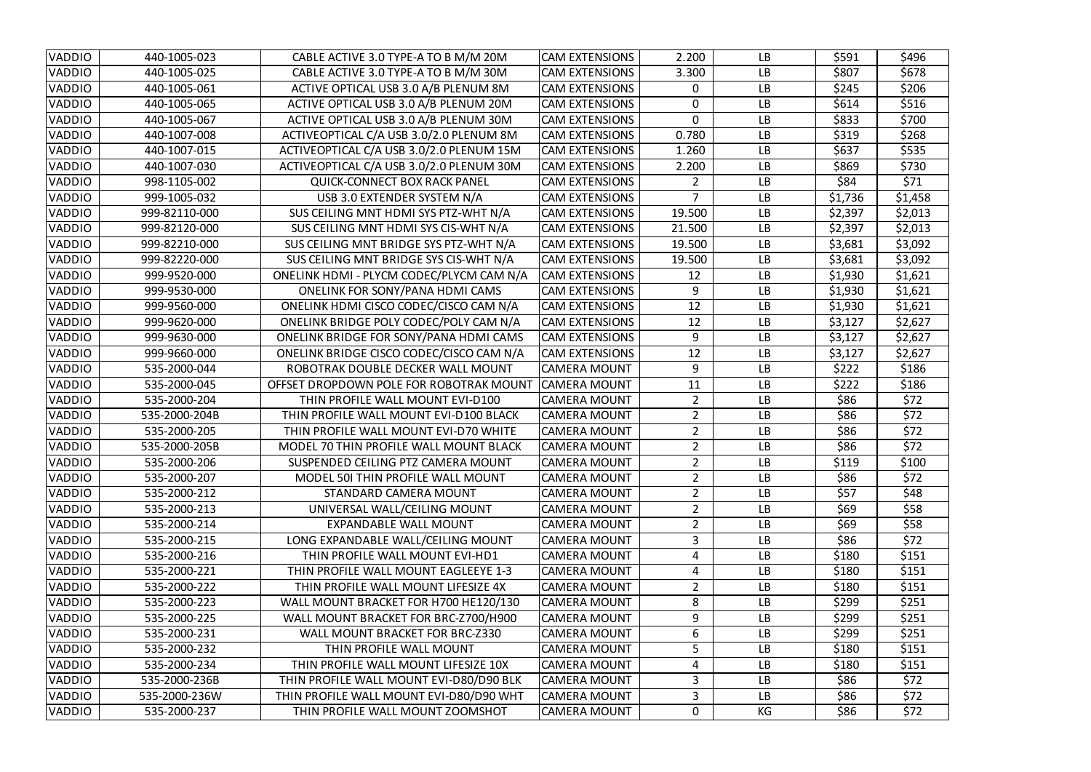| <b>VADDIO</b> | 440-1005-023  | CABLE ACTIVE 3.0 TYPE-A TO B M/M 20M     | <b>CAM EXTENSIONS</b> | 2.200          | LB        | \$591   | \$496   |
|---------------|---------------|------------------------------------------|-----------------------|----------------|-----------|---------|---------|
| <b>VADDIO</b> | 440-1005-025  | CABLE ACTIVE 3.0 TYPE-A TO B M/M 30M     | <b>CAM EXTENSIONS</b> | 3.300          | <b>LB</b> | \$807   | \$678   |
| <b>VADDIO</b> | 440-1005-061  | ACTIVE OPTICAL USB 3.0 A/B PLENUM 8M     | <b>CAM EXTENSIONS</b> | $\mathbf{0}$   | <b>LB</b> | \$245   | \$206   |
| VADDIO        | 440-1005-065  | ACTIVE OPTICAL USB 3.0 A/B PLENUM 20M    | <b>CAM EXTENSIONS</b> | 0              | <b>LB</b> | \$614   | \$516   |
| <b>VADDIO</b> | 440-1005-067  | ACTIVE OPTICAL USB 3.0 A/B PLENUM 30M    | <b>CAM EXTENSIONS</b> | 0              | <b>LB</b> | \$833   | \$700   |
| <b>VADDIO</b> | 440-1007-008  | ACTIVEOPTICAL C/A USB 3.0/2.0 PLENUM 8M  | <b>CAM EXTENSIONS</b> | 0.780          | <b>LB</b> | \$319   | \$268   |
| <b>VADDIO</b> | 440-1007-015  | ACTIVEOPTICAL C/A USB 3.0/2.0 PLENUM 15M | <b>CAM EXTENSIONS</b> | 1.260          | <b>LB</b> | \$637   | \$535   |
| VADDIO        | 440-1007-030  | ACTIVEOPTICAL C/A USB 3.0/2.0 PLENUM 30M | <b>CAM EXTENSIONS</b> | 2.200          | <b>LB</b> | \$869   | \$730   |
| <b>VADDIO</b> | 998-1105-002  | <b>QUICK-CONNECT BOX RACK PANEL</b>      | <b>CAM EXTENSIONS</b> |                | <b>LB</b> | \$84    | \$71    |
| VADDIO        | 999-1005-032  | USB 3.0 EXTENDER SYSTEM N/A              | <b>CAM EXTENSIONS</b> | 7              | <b>LB</b> | \$1,736 | \$1,458 |
| VADDIO        | 999-82110-000 | SUS CEILING MNT HDMI SYS PTZ-WHT N/A     | <b>CAM EXTENSIONS</b> | 19.500         | <b>LB</b> | \$2,397 | \$2,013 |
| <b>VADDIO</b> | 999-82120-000 | SUS CEILING MNT HDMI SYS CIS-WHT N/A     | <b>CAM EXTENSIONS</b> | 21.500         | <b>LB</b> | \$2,397 | \$2,013 |
| VADDIO        | 999-82210-000 | SUS CEILING MNT BRIDGE SYS PTZ-WHT N/A   | <b>CAM EXTENSIONS</b> | 19.500         | <b>LB</b> | \$3,681 | \$3,092 |
| <b>VADDIO</b> | 999-82220-000 | SUS CEILING MNT BRIDGE SYS CIS-WHT N/A   | <b>CAM EXTENSIONS</b> | 19.500         | <b>LB</b> | \$3,681 | \$3,092 |
| <b>VADDIO</b> | 999-9520-000  | ONELINK HDMI - PLYCM CODEC/PLYCM CAM N/A | <b>CAM EXTENSIONS</b> | 12             | <b>LB</b> | \$1,930 | \$1,621 |
| VADDIO        | 999-9530-000  | <b>ONELINK FOR SONY/PANA HDMI CAMS</b>   | <b>CAM EXTENSIONS</b> | 9              | <b>LB</b> | \$1,930 | \$1,621 |
| VADDIO        | 999-9560-000  | ONELINK HDMI CISCO CODEC/CISCO CAM N/A   | <b>CAM EXTENSIONS</b> | 12             | <b>LB</b> | \$1,930 | \$1,621 |
| <b>VADDIO</b> | 999-9620-000  | ONELINK BRIDGE POLY CODEC/POLY CAM N/A   | <b>CAM EXTENSIONS</b> | 12             | <b>LB</b> | \$3,127 | \$2,627 |
| <b>VADDIO</b> | 999-9630-000  | ONELINK BRIDGE FOR SONY/PANA HDMI CAMS   | <b>CAM EXTENSIONS</b> | 9              | <b>LB</b> | \$3,127 | \$2,627 |
| VADDIO        | 999-9660-000  | ONELINK BRIDGE CISCO CODEC/CISCO CAM N/A | <b>CAM EXTENSIONS</b> | 12             | <b>LB</b> | \$3,127 | \$2,627 |
| <b>VADDIO</b> | 535-2000-044  | ROBOTRAK DOUBLE DECKER WALL MOUNT        | <b>CAMERA MOUNT</b>   | 9              | <b>LB</b> | \$222   | \$186   |
| <b>VADDIO</b> | 535-2000-045  | OFFSET DROPDOWN POLE FOR ROBOTRAK MOUNT  | <b>CAMERA MOUNT</b>   | 11             | <b>LB</b> | \$222   | \$186   |
| VADDIO        | 535-2000-204  | THIN PROFILE WALL MOUNT EVI-D100         | <b>CAMERA MOUNT</b>   | $\overline{2}$ | <b>LB</b> | \$86    | \$72    |
| <b>VADDIO</b> | 535-2000-204B | THIN PROFILE WALL MOUNT EVI-D100 BLACK   | <b>CAMERA MOUNT</b>   | $\overline{2}$ | <b>LB</b> | \$86    | \$72    |
| VADDIO        | 535-2000-205  | THIN PROFILE WALL MOUNT EVI-D70 WHITE    | <b>CAMERA MOUNT</b>   | $\overline{2}$ | <b>LB</b> | \$86    | \$72    |
| VADDIO        | 535-2000-205B | MODEL 70 THIN PROFILE WALL MOUNT BLACK   | <b>CAMERA MOUNT</b>   | $\overline{2}$ | <b>LB</b> | \$86    | \$72    |
| VADDIO        | 535-2000-206  | SUSPENDED CEILING PTZ CAMERA MOUNT       | <b>CAMERA MOUNT</b>   | 2 <sup>1</sup> | <b>LB</b> | \$119   | \$100   |
| <b>VADDIO</b> | 535-2000-207  | MODEL 501 THIN PROFILE WALL MOUNT        | <b>CAMERA MOUNT</b>   | $\overline{2}$ | <b>LB</b> | \$86    | \$72    |
| <b>VADDIO</b> | 535-2000-212  | STANDARD CAMERA MOUNT                    | <b>CAMERA MOUNT</b>   | $\overline{2}$ | <b>LB</b> | \$57    | \$48    |
| <b>VADDIO</b> | 535-2000-213  | UNIVERSAL WALL/CEILING MOUNT             | <b>CAMERA MOUNT</b>   | $2^{\circ}$    | <b>LB</b> | \$69    | \$58    |
| <b>VADDIO</b> | 535-2000-214  | <b>EXPANDABLE WALL MOUNT</b>             | <b>CAMERA MOUNT</b>   | $\overline{2}$ | <b>LB</b> | \$69    | \$58    |
| <b>VADDIO</b> | 535-2000-215  | LONG EXPANDABLE WALL/CEILING MOUNT       | <b>CAMERA MOUNT</b>   | 3              | <b>LB</b> | \$86    | \$72    |
| VADDIO        | 535-2000-216  | THIN PROFILE WALL MOUNT EVI-HD1          | <b>CAMERA MOUNT</b>   | 4              | <b>LB</b> | \$180   | \$151   |
| VADDIO        | 535-2000-221  | THIN PROFILE WALL MOUNT EAGLEEYE 1-3     | <b>CAMERA MOUNT</b>   | 4              | <b>LB</b> | \$180   | \$151   |
| VADDIO        | 535-2000-222  | THIN PROFILE WALL MOUNT LIFESIZE 4X      | <b>CAMERA MOUNT</b>   | $\overline{2}$ | <b>LB</b> | \$180   | \$151   |
| VADDIO        | 535-2000-223  | WALL MOUNT BRACKET FOR H700 HE120/130    | <b>CAMERA MOUNT</b>   | 8              | <b>LB</b> | \$299   | \$251   |
| <b>VADDIO</b> | 535-2000-225  | WALL MOUNT BRACKET FOR BRC-Z700/H900     | <b>CAMERA MOUNT</b>   | 9              | <b>LB</b> | \$299   | \$251   |
| VADDIO        | 535-2000-231  | WALL MOUNT BRACKET FOR BRC-Z330          | <b>CAMERA MOUNT</b>   | 6              | <b>LB</b> | \$299   | \$251   |
| <b>VADDIO</b> | 535-2000-232  | THIN PROFILE WALL MOUNT                  | <b>CAMERA MOUNT</b>   | 5              | <b>LB</b> | \$180   | \$151   |
| VADDIO        | 535-2000-234  | THIN PROFILE WALL MOUNT LIFESIZE 10X     | <b>CAMERA MOUNT</b>   | 4              | <b>LB</b> | \$180   | \$151   |
| VADDIO        | 535-2000-236B | THIN PROFILE WALL MOUNT EVI-D80/D90 BLK  | <b>CAMERA MOUNT</b>   | 3              | <b>LB</b> | \$86    | \$72    |
| <b>VADDIO</b> | 535-2000-236W | THIN PROFILE WALL MOUNT EVI-D80/D90 WHT  | <b>CAMERA MOUNT</b>   | 3              | <b>LB</b> | \$86    | \$72    |
| <b>VADDIO</b> | 535-2000-237  | THIN PROFILE WALL MOUNT ZOOMSHOT         | <b>CAMERA MOUNT</b>   | 0              | KG        | \$86    | \$72    |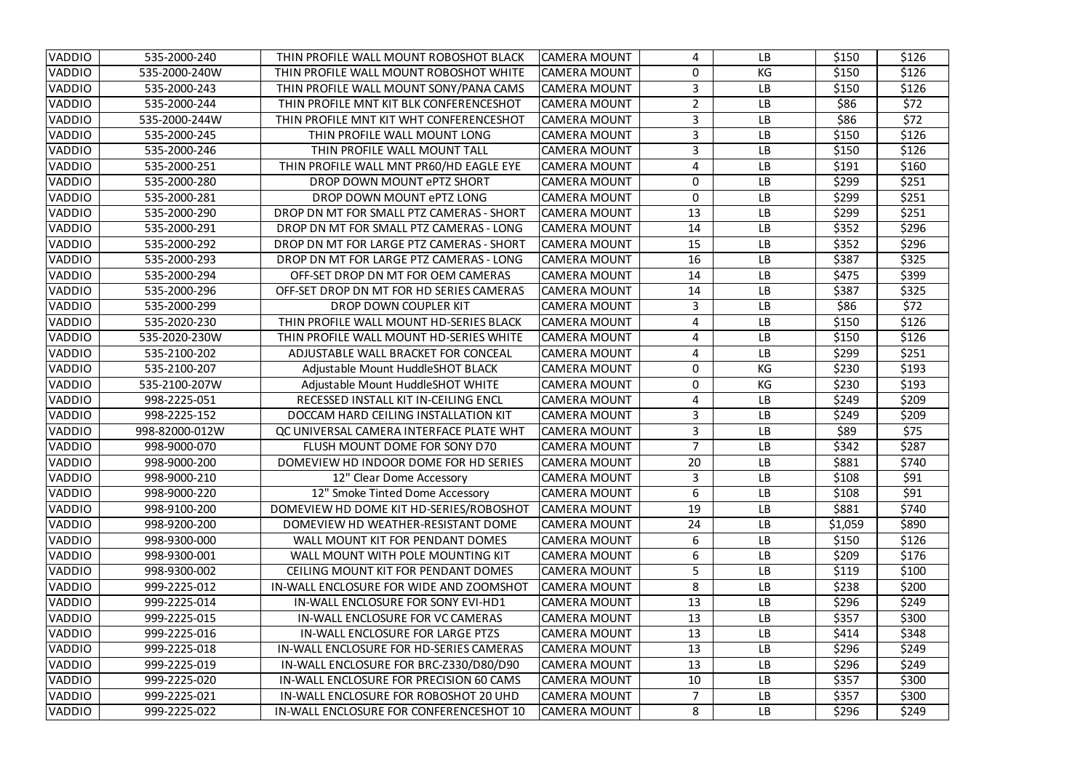| <b>VADDIO</b> | 535-2000-240   | THIN PROFILE WALL MOUNT ROBOSHOT BLACK         | <b>CAMERA MOUNT</b> | 4              | <b>LB</b> | \$150   | \$126 |
|---------------|----------------|------------------------------------------------|---------------------|----------------|-----------|---------|-------|
| VADDIO        | 535-2000-240W  | THIN PROFILE WALL MOUNT ROBOSHOT WHITE         | <b>CAMERA MOUNT</b> | 0              | KG        | \$150   | \$126 |
| <b>VADDIO</b> | 535-2000-243   | THIN PROFILE WALL MOUNT SONY/PANA CAMS         | <b>CAMERA MOUNT</b> | 3              | <b>LB</b> | \$150   | \$126 |
| VADDIO        | 535-2000-244   | THIN PROFILE MNT KIT BLK CONFERENCESHOT        | <b>CAMERA MOUNT</b> | $\overline{2}$ | <b>LB</b> | \$86    | \$72  |
| <b>VADDIO</b> | 535-2000-244W  | THIN PROFILE MNT KIT WHT CONFERENCESHOT        | <b>CAMERA MOUNT</b> | 3              | <b>LB</b> | \$86    | \$72  |
| <b>VADDIO</b> | 535-2000-245   | THIN PROFILE WALL MOUNT LONG                   | <b>CAMERA MOUNT</b> | $\overline{3}$ | <b>LB</b> | \$150   | \$126 |
| <b>VADDIO</b> | 535-2000-246   | THIN PROFILE WALL MOUNT TALL                   | <b>CAMERA MOUNT</b> | 3              | <b>LB</b> | \$150   | \$126 |
| <b>VADDIO</b> | 535-2000-251   | THIN PROFILE WALL MNT PR60/HD EAGLE EYE        | <b>CAMERA MOUNT</b> | 4              | <b>LB</b> | \$191   | \$160 |
| <b>VADDIO</b> | 535-2000-280   | DROP DOWN MOUNT ePTZ SHORT                     | <b>CAMERA MOUNT</b> | $\overline{0}$ | <b>LB</b> | \$299   | \$251 |
| <b>VADDIO</b> | 535-2000-281   | DROP DOWN MOUNT ePTZ LONG                      | <b>CAMERA MOUNT</b> | $\overline{0}$ | <b>LB</b> | \$299   | \$251 |
| <b>VADDIO</b> | 535-2000-290   | DROP DN MT FOR SMALL PTZ CAMERAS - SHORT       | <b>CAMERA MOUNT</b> | 13             | <b>LB</b> | \$299   | \$251 |
| <b>VADDIO</b> | 535-2000-291   | DROP DN MT FOR SMALL PTZ CAMERAS - LONG        | <b>CAMERA MOUNT</b> | 14             | <b>LB</b> | \$352   | \$296 |
| <b>VADDIO</b> | 535-2000-292   | DROP DN MT FOR LARGE PTZ CAMERAS - SHORT       | <b>CAMERA MOUNT</b> | 15             | <b>LB</b> | \$352   | \$296 |
| <b>VADDIO</b> | 535-2000-293   | DROP DN MT FOR LARGE PTZ CAMERAS - LONG        | <b>CAMERA MOUNT</b> | 16             | <b>LB</b> | \$387   | \$325 |
| <b>VADDIO</b> | 535-2000-294   | OFF-SET DROP DN MT FOR OEM CAMERAS             | <b>CAMERA MOUNT</b> | 14             | <b>LB</b> | \$475   | \$399 |
| <b>VADDIO</b> | 535-2000-296   | OFF-SET DROP DN MT FOR HD SERIES CAMERAS       | <b>CAMERA MOUNT</b> | 14             | <b>LB</b> | \$387   | \$325 |
| <b>VADDIO</b> | 535-2000-299   | DROP DOWN COUPLER KIT                          | <b>CAMERA MOUNT</b> | 3              | <b>LB</b> | \$86    | \$72  |
| <b>VADDIO</b> | 535-2020-230   | THIN PROFILE WALL MOUNT HD-SERIES BLACK        | <b>CAMERA MOUNT</b> | 4              | <b>LB</b> | \$150   | \$126 |
| <b>VADDIO</b> | 535-2020-230W  | THIN PROFILE WALL MOUNT HD-SERIES WHITE        | <b>CAMERA MOUNT</b> | 4              | <b>LB</b> | \$150   | \$126 |
| VADDIO        | 535-2100-202   | ADJUSTABLE WALL BRACKET FOR CONCEAL            | <b>CAMERA MOUNT</b> | 4              | <b>LB</b> | \$299   | \$251 |
| <b>VADDIO</b> | 535-2100-207   | Adjustable Mount HuddleSHOT BLACK              | <b>CAMERA MOUNT</b> | $\mathbf{0}$   | KG        | \$230   | \$193 |
| <b>VADDIO</b> | 535-2100-207W  | Adjustable Mount HuddleSHOT WHITE              | <b>CAMERA MOUNT</b> | $\Omega$       | KG        | \$230   | \$193 |
| VADDIO        | 998-2225-051   | RECESSED INSTALL KIT IN-CEILING ENCL           | <b>CAMERA MOUNT</b> | 4              | <b>LB</b> | \$249   | \$209 |
| <b>VADDIO</b> | 998-2225-152   | DOCCAM HARD CEILING INSTALLATION KIT           | <b>CAMERA MOUNT</b> | $\mathbf{3}$   | <b>LB</b> | \$249   | \$209 |
| <b>VADDIO</b> | 998-82000-012W | QC UNIVERSAL CAMERA INTERFACE PLATE WHT        | <b>CAMERA MOUNT</b> | 3              | <b>LB</b> | \$89    | \$75  |
| <b>VADDIO</b> | 998-9000-070   | FLUSH MOUNT DOME FOR SONY D70                  | <b>CAMERA MOUNT</b> |                | <b>LB</b> | \$342   | \$287 |
| <b>VADDIO</b> | 998-9000-200   | DOMEVIEW HD INDOOR DOME FOR HD SERIES          | CAMERA MOUNT        | 20             | <b>LB</b> | \$881   | \$740 |
| <b>VADDIO</b> | 998-9000-210   | 12" Clear Dome Accessory                       | <b>CAMERA MOUNT</b> |                | <b>LB</b> | \$108   | \$91  |
| <b>VADDIO</b> | 998-9000-220   | 12" Smoke Tinted Dome Accessory                | <b>CAMERA MOUNT</b> | 6              | <b>LB</b> | \$108   | \$91  |
| <b>VADDIO</b> | 998-9100-200   | DOMEVIEW HD DOME KIT HD-SERIES/ROBOSHOT        | <b>CAMERA MOUNT</b> | 19             | <b>LB</b> | \$881   | \$740 |
| <b>VADDIO</b> | 998-9200-200   | DOMEVIEW HD WEATHER-RESISTANT DOME             | <b>CAMERA MOUNT</b> | 24             | <b>LB</b> | \$1,059 | \$890 |
| <b>VADDIO</b> | 998-9300-000   | WALL MOUNT KIT FOR PENDANT DOMES               | <b>CAMERA MOUNT</b> | 6              | <b>LB</b> | \$150   | \$126 |
| <b>VADDIO</b> | 998-9300-001   | WALL MOUNT WITH POLE MOUNTING KIT              | <b>CAMERA MOUNT</b> | 6.             | <b>LB</b> | \$209   | \$176 |
| <b>VADDIO</b> | 998-9300-002   | <b>CEILING MOUNT KIT FOR PENDANT DOMES</b>     | <b>CAMERA MOUNT</b> | 5              | <b>LB</b> | \$119   | \$100 |
| <b>VADDIO</b> | 999-2225-012   | IN-WALL ENCLOSURE FOR WIDE AND ZOOMSHOT        | <b>CAMERA MOUNT</b> | 8              | <b>LB</b> | \$238   | \$200 |
| <b>VADDIO</b> | 999-2225-014   | IN-WALL ENCLOSURE FOR SONY EVI-HD1             | <b>CAMERA MOUNT</b> | 13             | <b>LB</b> | \$296   | \$249 |
| <b>VADDIO</b> | 999-2225-015   | IN-WALL ENCLOSURE FOR VC CAMERAS               | <b>CAMERA MOUNT</b> | 13             | <b>LB</b> | \$357   | \$300 |
| <b>VADDIO</b> | 999-2225-016   | <b>IN-WALL ENCLOSURE FOR LARGE PTZS</b>        | <b>CAMERA MOUNT</b> | 13             | <b>LB</b> | \$414   | \$348 |
| <b>VADDIO</b> | 999-2225-018   | <b>IN-WALL ENCLOSURE FOR HD-SERIES CAMERAS</b> | <b>CAMERA MOUNT</b> | 13             | <b>LB</b> | \$296   | \$249 |
| <b>VADDIO</b> | 999-2225-019   | IN-WALL ENCLOSURE FOR BRC-Z330/D80/D90         | <b>CAMERA MOUNT</b> | 13             | <b>LB</b> | \$296   | \$249 |
| <b>VADDIO</b> | 999-2225-020   | IN-WALL ENCLOSURE FOR PRECISION 60 CAMS        | <b>CAMERA MOUNT</b> | 10             | <b>LB</b> | \$357   | \$300 |
| <b>VADDIO</b> | 999-2225-021   | IN-WALL ENCLOSURE FOR ROBOSHOT 20 UHD          | <b>CAMERA MOUNT</b> | $\overline{7}$ | <b>LB</b> | \$357   | \$300 |
| <b>VADDIO</b> | 999-2225-022   | IN-WALL ENCLOSURE FOR CONFERENCESHOT 10        | CAMERA MOUNT        | 8              | LB        | \$296   | \$249 |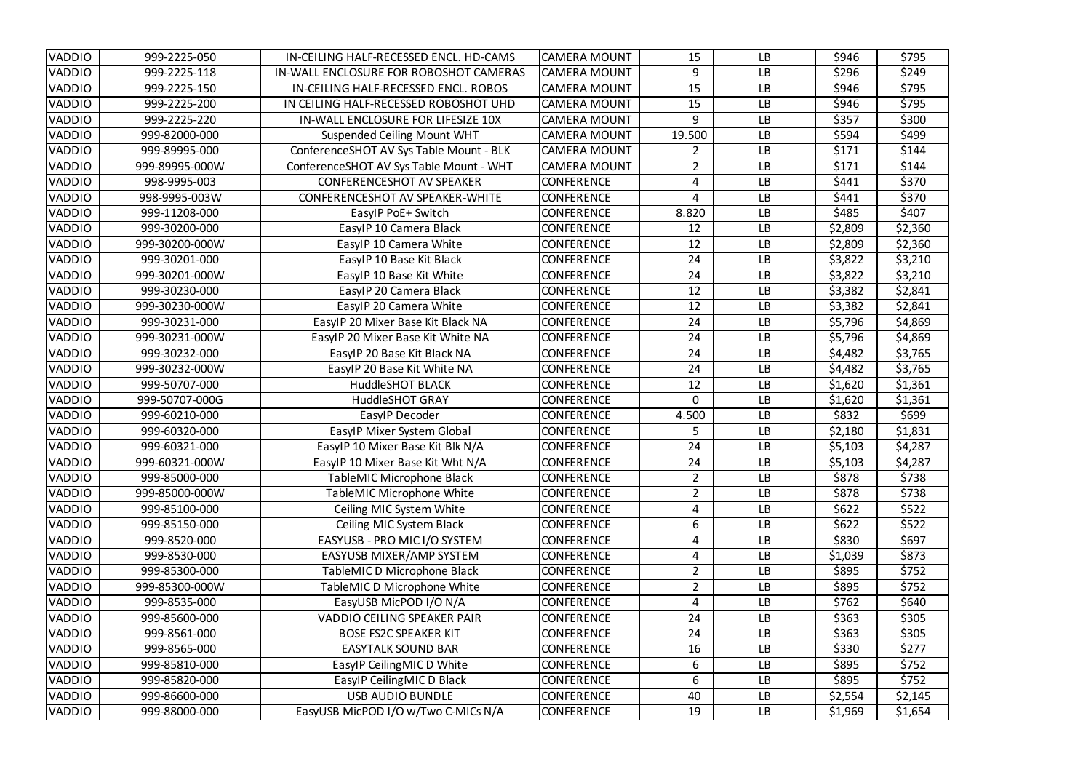| <b>VADDIO</b> | 999-2225-050   | IN-CEILING HALF-RECESSED ENCL. HD-CAMS  | <b>CAMERA MOUNT</b> | 15             | <b>LB</b> | \$946   | \$795   |
|---------------|----------------|-----------------------------------------|---------------------|----------------|-----------|---------|---------|
| <b>VADDIO</b> | 999-2225-118   | IN-WALL ENCLOSURE FOR ROBOSHOT CAMERAS  | <b>CAMERA MOUNT</b> | 9              | <b>LB</b> | \$296   | \$249   |
| <b>VADDIO</b> | 999-2225-150   | IN-CEILING HALF-RECESSED ENCL. ROBOS    | <b>CAMERA MOUNT</b> | 15             | <b>LB</b> | \$946   | \$795   |
| <b>VADDIO</b> | 999-2225-200   | IN CEILING HALF-RECESSED ROBOSHOT UHD   | <b>CAMERA MOUNT</b> | 15             | <b>LB</b> | \$946   | \$795   |
| <b>VADDIO</b> | 999-2225-220   | IN-WALL ENCLOSURE FOR LIFESIZE 10X      | <b>CAMERA MOUNT</b> | 9              | <b>LB</b> | \$357   | \$300   |
| <b>VADDIO</b> | 999-82000-000  | <b>Suspended Ceiling Mount WHT</b>      | <b>CAMERA MOUNT</b> | 19.500         | <b>LB</b> | \$594   | \$499   |
| <b>VADDIO</b> | 999-89995-000  | ConferenceSHOT AV Sys Table Mount - BLK | <b>CAMERA MOUNT</b> |                | <b>LB</b> | \$171   | \$144   |
| <b>VADDIO</b> | 999-89995-000W | ConferenceSHOT AV Sys Table Mount - WHT | <b>CAMERA MOUNT</b> | $\overline{2}$ | <b>LB</b> | \$171   | \$144   |
| <b>VADDIO</b> | 998-9995-003   | <b>CONFERENCESHOT AV SPEAKER</b>        | <b>CONFERENCE</b>   | 4              | <b>LB</b> | \$441   | \$370   |
| <b>VADDIO</b> | 998-9995-003W  | <b>CONFERENCESHOT AV SPEAKER-WHITE</b>  | <b>CONFERENCE</b>   | 4              | <b>LB</b> | \$441   | \$370   |
| <b>VADDIO</b> | 999-11208-000  | EasylP PoE+ Switch                      | <b>CONFERENCE</b>   | 8.820          | <b>LB</b> | \$485   | \$407   |
| <b>VADDIO</b> | 999-30200-000  | EasylP 10 Camera Black                  | <b>CONFERENCE</b>   | 12             | <b>LB</b> | \$2,809 | \$2,360 |
| <b>VADDIO</b> | 999-30200-000W | EasylP 10 Camera White                  | <b>CONFERENCE</b>   | 12             | <b>LB</b> | \$2,809 | \$2,360 |
| <b>VADDIO</b> | 999-30201-000  | EasylP 10 Base Kit Black                | <b>CONFERENCE</b>   | 24             | <b>LB</b> | \$3,822 | \$3,210 |
| <b>VADDIO</b> | 999-30201-000W | EasylP 10 Base Kit White                | <b>CONFERENCE</b>   | 24             | <b>LB</b> | \$3,822 | \$3,210 |
| <b>VADDIO</b> | 999-30230-000  | EasylP 20 Camera Black                  | <b>CONFERENCE</b>   | 12             | <b>LB</b> | \$3,382 | \$2,841 |
| VADDIO        | 999-30230-000W | EasylP 20 Camera White                  | <b>CONFERENCE</b>   | 12             | <b>LB</b> | \$3,382 | \$2,841 |
| <b>VADDIO</b> | 999-30231-000  | EasylP 20 Mixer Base Kit Black NA       | <b>CONFERENCE</b>   | 24             | <b>LB</b> | \$5,796 | \$4,869 |
| <b>VADDIO</b> | 999-30231-000W | EasylP 20 Mixer Base Kit White NA       | <b>CONFERENCE</b>   | 24             | <b>LB</b> | \$5,796 | \$4,869 |
| <b>VADDIO</b> | 999-30232-000  | EasylP 20 Base Kit Black NA             | <b>CONFERENCE</b>   | 24             | <b>LB</b> | \$4,482 | \$3,765 |
| <b>VADDIO</b> | 999-30232-000W | EasylP 20 Base Kit White NA             | <b>CONFERENCE</b>   | 24             | <b>LB</b> | \$4,482 | \$3,765 |
| <b>VADDIO</b> | 999-50707-000  | <b>HuddleSHOT BLACK</b>                 | <b>CONFERENCE</b>   | 12             | <b>LB</b> | \$1,620 | \$1,361 |
| <b>VADDIO</b> | 999-50707-000G | <b>HuddleSHOT GRAY</b>                  | <b>CONFERENCE</b>   | $\Omega$       | <b>LB</b> | \$1,620 | \$1,361 |
| <b>VADDIO</b> | 999-60210-000  | EasylP Decoder                          | <b>CONFERENCE</b>   | 4.500          | <b>LB</b> | \$832   | \$699   |
| <b>VADDIO</b> | 999-60320-000  | EasylP Mixer System Global              | <b>CONFERENCE</b>   | 5.             | <b>LB</b> | \$2,180 | \$1,831 |
| <b>VADDIO</b> | 999-60321-000  | EasylP 10 Mixer Base Kit Blk N/A        | <b>CONFERENCE</b>   | 24             | LB        | \$5,103 | \$4,287 |
| VADDIO        | 999-60321-000W | EasylP 10 Mixer Base Kit Wht N/A        | <b>CONFERENCE</b>   | 24             | LB        | \$5,103 | \$4,287 |
| <b>VADDIO</b> | 999-85000-000  | TableMIC Microphone Black               | <b>CONFERENCE</b>   | $\overline{2}$ | <b>LB</b> | \$878   | \$738   |
| <b>VADDIO</b> | 999-85000-000W | TableMIC Microphone White               | <b>CONFERENCE</b>   | $\overline{2}$ | <b>LB</b> | \$878   | \$738   |
| <b>VADDIO</b> | 999-85100-000  | Ceiling MIC System White                | <b>CONFERENCE</b>   | 4              | <b>LB</b> | \$622   | \$522   |
| <b>VADDIO</b> | 999-85150-000  | Ceiling MIC System Black                | <b>CONFERENCE</b>   | 6              | <b>LB</b> | \$622   | \$522   |
| <b>VADDIO</b> | 999-8520-000   | EASYUSB - PRO MIC I/O SYSTEM            | <b>CONFERENCE</b>   | 4              | <b>LB</b> | \$830   | \$697   |
| <b>VADDIO</b> | 999-8530-000   | EASYUSB MIXER/AMP SYSTEM                | <b>CONFERENCE</b>   | 4              | <b>LB</b> | \$1,039 | \$873   |
| <b>VADDIO</b> | 999-85300-000  | TableMIC D Microphone Black             | <b>CONFERENCE</b>   | $\overline{2}$ | <b>LB</b> | \$895   | \$752   |
| <b>VADDIO</b> | 999-85300-000W | TableMIC D Microphone White             | <b>CONFERENCE</b>   | $\overline{2}$ | <b>LB</b> | \$895   | \$752   |
| <b>VADDIO</b> | 999-8535-000   | EasyUSB MicPOD I/O N/A                  | <b>CONFERENCE</b>   | 4              | <b>LB</b> | \$762   | \$640   |
| <b>VADDIO</b> | 999-85600-000  | <b>VADDIO CEILING SPEAKER PAIR</b>      | <b>CONFERENCE</b>   | 24             | <b>LB</b> | \$363   | \$305   |
| <b>VADDIO</b> | 999-8561-000   | <b>BOSE FS2C SPEAKER KIT</b>            | <b>CONFERENCE</b>   | 24             | <b>LB</b> | \$363   | \$305   |
| <b>VADDIO</b> | 999-8565-000   | <b>EASYTALK SOUND BAR</b>               | <b>CONFERENCE</b>   | 16             | <b>LB</b> | \$330   | \$277   |
| <b>VADDIO</b> | 999-85810-000  | EasylP Ceiling MIC D White              | <b>CONFERENCE</b>   | 6              | <b>LB</b> | \$895   | \$752   |
| <b>VADDIO</b> | 999-85820-000  | EasylP Ceiling MIC D Black              | <b>CONFERENCE</b>   | 6              | <b>LB</b> | \$895   | \$752   |
| <b>VADDIO</b> | 999-86600-000  | <b>USB AUDIO BUNDLE</b>                 | <b>CONFERENCE</b>   | 40             | <b>LB</b> | \$2,554 | \$2,145 |
| <b>VADDIO</b> | 999-88000-000  | EasyUSB MicPOD I/O w/Two C-MICs N/A     | <b>CONFERENCE</b>   | 19             | LB        | \$1,969 | \$1,654 |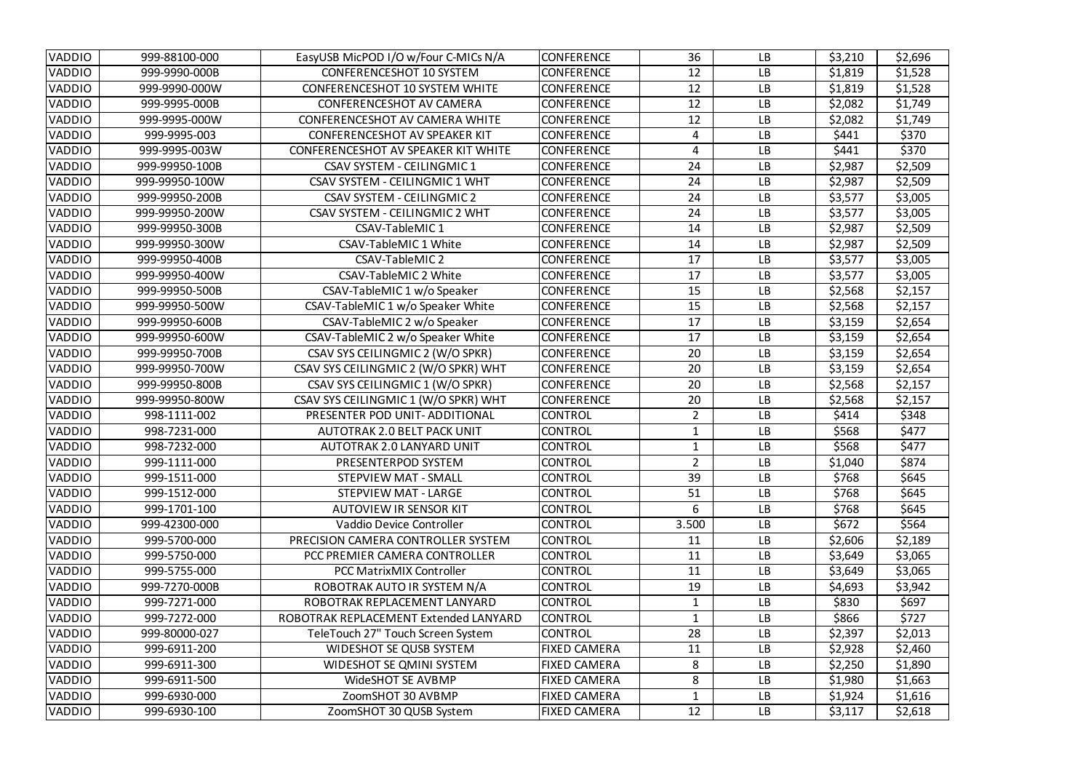| <b>VADDIO</b> | 999-88100-000  | EasyUSB MicPOD I/O w/Four C-MICs N/A       | <b>CONFERENCE</b>   | 36             | <b>LB</b> | \$3,210 | \$2,696 |
|---------------|----------------|--------------------------------------------|---------------------|----------------|-----------|---------|---------|
| <b>VADDIO</b> | 999-9990-000B  | <b>CONFERENCESHOT 10 SYSTEM</b>            | <b>CONFERENCE</b>   | 12             | <b>LB</b> | \$1,819 | \$1,528 |
| <b>VADDIO</b> | 999-9990-000W  | <b>CONFERENCESHOT 10 SYSTEM WHITE</b>      | <b>CONFERENCE</b>   | 12             | <b>LB</b> | \$1,819 | \$1,528 |
| <b>VADDIO</b> | 999-9995-000B  | <b>CONFERENCESHOT AV CAMERA</b>            | <b>CONFERENCE</b>   | 12             | <b>LB</b> | \$2,082 | \$1,749 |
| <b>VADDIO</b> | 999-9995-000W  | CONFERENCESHOT AV CAMERA WHITE             | <b>CONFERENCE</b>   | 12             | <b>LB</b> | \$2,082 | \$1,749 |
| <b>VADDIO</b> | 999-9995-003   | <b>CONFERENCESHOT AV SPEAKER KIT</b>       | <b>CONFERENCE</b>   | 4              | <b>LB</b> | \$441   | \$370   |
| <b>VADDIO</b> | 999-9995-003W  | <b>CONFERENCESHOT AV SPEAKER KIT WHITE</b> | <b>CONFERENCE</b>   | 4              | <b>LB</b> | \$441   | \$370   |
| VADDIO        | 999-99950-100B | <b>CSAV SYSTEM - CEILINGMIC 1</b>          | <b>CONFERENCE</b>   | 24             | <b>LB</b> | \$2,987 | \$2,509 |
| <b>VADDIO</b> | 999-99950-100W | <b>CSAV SYSTEM - CEILINGMIC 1 WHT</b>      | <b>CONFERENCE</b>   | 24             | <b>LB</b> | \$2,987 | \$2,509 |
| VADDIO        | 999-99950-200B | <b>CSAV SYSTEM - CEILINGMIC 2</b>          | <b>CONFERENCE</b>   | 24             | <b>LB</b> | \$3,577 | \$3,005 |
| VADDIO        | 999-99950-200W | <b>CSAV SYSTEM - CEILINGMIC 2 WHT</b>      | <b>CONFERENCE</b>   | 24             | <b>LB</b> | \$3,577 | \$3,005 |
| <b>VADDIO</b> | 999-99950-300B | <b>CSAV-TableMIC1</b>                      | <b>CONFERENCE</b>   | 14             | <b>LB</b> | \$2,987 | \$2,509 |
| <b>VADDIO</b> | 999-99950-300W | <b>CSAV-TableMIC 1 White</b>               | <b>CONFERENCE</b>   | 14             | <b>LB</b> | \$2,987 | \$2,509 |
| <b>VADDIO</b> | 999-99950-400B | <b>CSAV-TableMIC 2</b>                     | <b>CONFERENCE</b>   | 17             | <b>LB</b> | \$3,577 | \$3,005 |
| <b>VADDIO</b> | 999-99950-400W | <b>CSAV-TableMIC 2 White</b>               | <b>CONFERENCE</b>   | 17             | <b>LB</b> | \$3,577 | \$3,005 |
| <b>VADDIO</b> | 999-99950-500B | CSAV-TableMIC 1 w/o Speaker                | <b>CONFERENCE</b>   | 15             | <b>LB</b> | \$2,568 | \$2,157 |
| <b>VADDIO</b> | 999-99950-500W | CSAV-TableMIC 1 w/o Speaker White          | <b>CONFERENCE</b>   | 15             | <b>LB</b> | \$2,568 | \$2,157 |
| <b>VADDIO</b> | 999-99950-600B | CSAV-TableMIC 2 w/o Speaker                | <b>CONFERENCE</b>   | 17             | <b>LB</b> | \$3,159 | \$2,654 |
| <b>VADDIO</b> | 999-99950-600W | CSAV-TableMIC 2 w/o Speaker White          | <b>CONFERENCE</b>   | 17             | <b>LB</b> | \$3,159 | \$2,654 |
| VADDIO        | 999-99950-700B | CSAV SYS CEILINGMIC 2 (W/O SPKR)           | <b>CONFERENCE</b>   | 20             | <b>LB</b> | \$3,159 | \$2,654 |
| VADDIO        | 999-99950-700W | CSAV SYS CEILINGMIC 2 (W/O SPKR) WHT       | <b>CONFERENCE</b>   | 20             | <b>LB</b> | \$3,159 | \$2,654 |
| <b>VADDIO</b> | 999-99950-800B | CSAV SYS CEILINGMIC 1 (W/O SPKR)           | <b>CONFERENCE</b>   | 20             | <b>LB</b> | \$2,568 | \$2,157 |
| <b>VADDIO</b> | 999-99950-800W | CSAV SYS CEILINGMIC 1 (W/O SPKR) WHT       | <b>CONFERENCE</b>   | 20             | <b>LB</b> | \$2,568 | \$2,157 |
| <b>VADDIO</b> | 998-1111-002   | PRESENTER POD UNIT-ADDITIONAL              | <b>CONTROL</b>      | $\overline{2}$ | <b>LB</b> | \$414   | \$348   |
| <b>VADDIO</b> | 998-7231-000   | <b>AUTOTRAK 2.0 BELT PACK UNIT</b>         | <b>CONTROL</b>      |                | <b>LB</b> | \$568   | \$477   |
| VADDIO        | 998-7232-000   | AUTOTRAK 2.0 LANYARD UNIT                  | <b>CONTROL</b>      |                | <b>LB</b> | \$568   | \$477   |
| <b>VADDIO</b> | 999-1111-000   | PRESENTERPOD SYSTEM                        | <b>CONTROL</b>      | 2 <sup>7</sup> | <b>LB</b> | \$1,040 | \$874   |
| <b>VADDIO</b> | 999-1511-000   | <b>STEPVIEW MAT - SMALL</b>                | <b>CONTROL</b>      | 39             | <b>LB</b> | \$768   | \$645   |
| <b>VADDIO</b> | 999-1512-000   | <b>STEPVIEW MAT - LARGE</b>                | <b>CONTROL</b>      | 51             | <b>LB</b> | \$768   | \$645   |
| <b>VADDIO</b> | 999-1701-100   | <b>AUTOVIEW IR SENSOR KIT</b>              | <b>CONTROL</b>      | 6              | <b>LB</b> | \$768   | \$645   |
| <b>VADDIO</b> | 999-42300-000  | Vaddio Device Controller                   | <b>CONTROL</b>      | 3.500          | <b>LB</b> | \$672   | \$564   |
| <b>VADDIO</b> | 999-5700-000   | PRECISION CAMERA CONTROLLER SYSTEM         | <b>CONTROL</b>      | 11             | <b>LB</b> | \$2,606 | \$2,189 |
| <b>VADDIO</b> | 999-5750-000   | PCC PREMIER CAMERA CONTROLLER              | <b>CONTROL</b>      | 11             | <b>LB</b> | \$3,649 | \$3,065 |
| <b>VADDIO</b> | 999-5755-000   | <b>PCC MatrixMIX Controller</b>            | <b>CONTROL</b>      | 11             | <b>LB</b> | \$3,649 | \$3,065 |
| <b>VADDIO</b> | 999-7270-000B  | ROBOTRAK AUTO IR SYSTEM N/A                | <b>CONTROL</b>      | 19             | <b>LB</b> | \$4,693 | \$3,942 |
| <b>VADDIO</b> | 999-7271-000   | ROBOTRAK REPLACEMENT LANYARD               | <b>CONTROL</b>      | $\mathbf{1}$   | <b>LB</b> | \$830   | \$697   |
| <b>VADDIO</b> | 999-7272-000   | ROBOTRAK REPLACEMENT Extended LANYARD      | <b>CONTROL</b>      |                | <b>LB</b> | \$866   | \$727   |
| <b>VADDIO</b> | 999-80000-027  | TeleTouch 27" Touch Screen System          | <b>CONTROL</b>      | 28             | <b>LB</b> | \$2,397 | \$2,013 |
| <b>VADDIO</b> | 999-6911-200   | <b>WIDESHOT SE QUSB SYSTEM</b>             | <b>FIXED CAMERA</b> | 11             | <b>LB</b> | \$2,928 | \$2,460 |
| <b>VADDIO</b> | 999-6911-300   | <b>WIDESHOT SE QMINI SYSTEM</b>            | <b>FIXED CAMERA</b> | 8              | <b>LB</b> | \$2,250 | \$1,890 |
| <b>VADDIO</b> | 999-6911-500   | <b>WideSHOT SE AVBMP</b>                   | <b>FIXED CAMERA</b> | 8              | <b>LB</b> | \$1,980 | \$1,663 |
| <b>VADDIO</b> | 999-6930-000   | ZoomSHOT 30 AVBMP                          | <b>FIXED CAMERA</b> | 1              | <b>LB</b> | \$1,924 | \$1,616 |
| <b>VADDIO</b> | 999-6930-100   | ZoomSHOT 30 QUSB System                    | <b>FIXED CAMERA</b> | 12             | <b>LB</b> | \$3,117 | \$2,618 |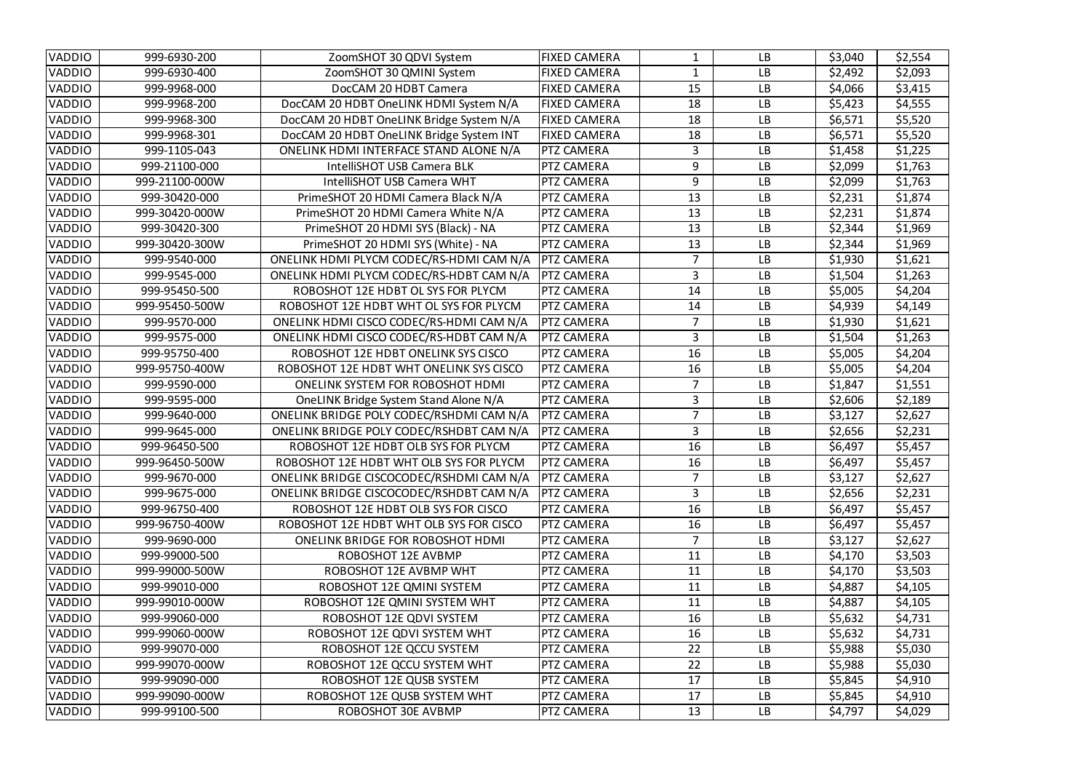| <b>VADDIO</b> | 999-6930-200   | ZoomSHOT 30 QDVI System                  | FIXED CAMERA        |                | <b>LB</b> | \$3,040 | \$2,554 |
|---------------|----------------|------------------------------------------|---------------------|----------------|-----------|---------|---------|
| <b>VADDIO</b> | 999-6930-400   | ZoomSHOT 30 QMINI System                 | <b>FIXED CAMERA</b> | 1              | <b>LB</b> | \$2,492 | \$2,093 |
| <b>VADDIO</b> | 999-9968-000   | DocCAM 20 HDBT Camera                    | <b>FIXED CAMERA</b> | 15             | <b>LB</b> | \$4,066 | \$3,415 |
| VADDIO        | 999-9968-200   | DocCAM 20 HDBT OneLINK HDMI System N/A   | <b>FIXED CAMERA</b> | 18             | <b>LB</b> | \$5,423 | \$4,555 |
| <b>VADDIO</b> | 999-9968-300   | DocCAM 20 HDBT OneLINK Bridge System N/A | <b>FIXED CAMERA</b> | 18             | <b>LB</b> | \$6,571 | \$5,520 |
| <b>VADDIO</b> | 999-9968-301   | DocCAM 20 HDBT OneLINK Bridge System INT | <b>FIXED CAMERA</b> | 18             | <b>LB</b> | \$6,571 | \$5,520 |
| <b>VADDIO</b> | 999-1105-043   | ONELINK HDMI INTERFACE STAND ALONE N/A   | <b>PTZ CAMERA</b>   |                | <b>LB</b> | \$1,458 | \$1,225 |
| VADDIO        | 999-21100-000  | <b>IntelliSHOT USB Camera BLK</b>        | PTZ CAMERA          | 9              | <b>LB</b> | \$2,099 | \$1,763 |
| <b>VADDIO</b> | 999-21100-000W | IntelliSHOT USB Camera WHT               | <b>PTZ CAMERA</b>   | 9              | <b>LB</b> | \$2,099 | \$1,763 |
| VADDIO        | 999-30420-000  | PrimeSHOT 20 HDMI Camera Black N/A       | PTZ CAMERA          | 13             | <b>LB</b> | \$2,231 | \$1,874 |
| VADDIO        | 999-30420-000W | PrimeSHOT 20 HDMI Camera White N/A       | PTZ CAMERA          | 13             | <b>LB</b> | \$2,231 | \$1,874 |
| <b>VADDIO</b> | 999-30420-300  | PrimeSHOT 20 HDMI SYS (Black) - NA       | <b>PTZ CAMERA</b>   | 13             | <b>LB</b> | \$2,344 | \$1,969 |
| <b>VADDIO</b> | 999-30420-300W | PrimeSHOT 20 HDMI SYS (White) - NA       | <b>PTZ CAMERA</b>   | 13             | <b>LB</b> | \$2,344 | \$1,969 |
| <b>VADDIO</b> | 999-9540-000   | ONELINK HDMI PLYCM CODEC/RS-HDMI CAM N/A | <b>PTZ CAMERA</b>   |                | <b>LB</b> | \$1,930 | \$1,621 |
| <b>VADDIO</b> | 999-9545-000   | ONELINK HDMI PLYCM CODEC/RS-HDBT CAM N/A | <b>PTZ CAMERA</b>   | 3              | <b>LB</b> | \$1,504 | \$1,263 |
| VADDIO        | 999-95450-500  | ROBOSHOT 12E HDBT OL SYS FOR PLYCM       | <b>PTZ CAMERA</b>   | 14             | <b>LB</b> | \$5,005 | \$4,204 |
| VADDIO        | 999-95450-500W | ROBOSHOT 12E HDBT WHT OL SYS FOR PLYCM   | <b>PTZ CAMERA</b>   | 14             | <b>LB</b> | \$4,939 | \$4,149 |
| <b>VADDIO</b> | 999-9570-000   | ONELINK HDMI CISCO CODEC/RS-HDMI CAM N/A | <b>PTZ CAMERA</b>   |                | <b>LB</b> | \$1,930 | \$1,621 |
| <b>VADDIO</b> | 999-9575-000   | ONELINK HDMI CISCO CODEC/RS-HDBT CAM N/A | <b>PTZ CAMERA</b>   | 3              | <b>LB</b> | \$1,504 | \$1,263 |
| <b>VADDIO</b> | 999-95750-400  | ROBOSHOT 12E HDBT ONELINK SYS CISCO      | <b>PTZ CAMERA</b>   | 16             | <b>LB</b> | \$5,005 | \$4,204 |
| <b>VADDIO</b> | 999-95750-400W | ROBOSHOT 12E HDBT WHT ONELINK SYS CISCO  | <b>PTZ CAMERA</b>   | 16             | <b>LB</b> | \$5,005 | \$4,204 |
| <b>VADDIO</b> | 999-9590-000   | <b>ONELINK SYSTEM FOR ROBOSHOT HDMI</b>  | <b>PTZ CAMERA</b>   |                | <b>LB</b> | \$1,847 | \$1,551 |
| VADDIO        | 999-9595-000   | OneLINK Bridge System Stand Alone N/A    | <b>PTZ CAMERA</b>   | 3              | <b>LB</b> | \$2,606 | \$2,189 |
| <b>VADDIO</b> | 999-9640-000   | ONELINK BRIDGE POLY CODEC/RSHDMI CAM N/A | <b>PTZ CAMERA</b>   | 7              | <b>LB</b> | \$3,127 | \$2,627 |
| <b>VADDIO</b> | 999-9645-000   | ONELINK BRIDGE POLY CODEC/RSHDBT CAM N/A | <b>PTZ CAMERA</b>   | 3              | <b>LB</b> | \$2,656 | \$2,231 |
| VADDIO        | 999-96450-500  | ROBOSHOT 12E HDBT OLB SYS FOR PLYCM      | <b>PTZ CAMERA</b>   | 16             | <b>LB</b> | \$6,497 | \$5,457 |
| VADDIO        | 999-96450-500W | ROBOSHOT 12E HDBT WHT OLB SYS FOR PLYCM  | <b>PTZ CAMERA</b>   | 16             | <b>LB</b> | \$6,497 | \$5,457 |
| <b>VADDIO</b> | 999-9670-000   | ONELINK BRIDGE CISCOCODEC/RSHDMI CAM N/A | <b>PTZ CAMERA</b>   | 7              | <b>LB</b> | \$3,127 | \$2,627 |
| <b>VADDIO</b> | 999-9675-000   | ONELINK BRIDGE CISCOCODEC/RSHDBT CAM N/A | <b>PTZ CAMERA</b>   | 3 <sup>1</sup> | <b>LB</b> | \$2,656 | \$2,231 |
| <b>VADDIO</b> | 999-96750-400  | ROBOSHOT 12E HDBT OLB SYS FOR CISCO      | <b>PTZ CAMERA</b>   | 16             | <b>LB</b> | \$6,497 | \$5,457 |
| <b>VADDIO</b> | 999-96750-400W | ROBOSHOT 12E HDBT WHT OLB SYS FOR CISCO  | <b>PTZ CAMERA</b>   | 16             | <b>LB</b> | \$6,497 | \$5,457 |
| <b>VADDIO</b> | 999-9690-000   | <b>ONELINK BRIDGE FOR ROBOSHOT HDMI</b>  | <b>PTZ CAMERA</b>   |                | <b>LB</b> | \$3,127 | \$2,627 |
| <b>VADDIO</b> | 999-99000-500  | ROBOSHOT 12E AVBMP                       | PTZ CAMERA          | 11             | <b>LB</b> | \$4,170 | \$3,503 |
| <b>VADDIO</b> | 999-99000-500W | ROBOSHOT 12E AVBMP WHT                   | PTZ CAMERA          | 11             | <b>LB</b> | \$4,170 | \$3,503 |
| <b>VADDIO</b> | 999-99010-000  | ROBOSHOT 12E QMINI SYSTEM                | PTZ CAMERA          | 11             | <b>LB</b> | \$4,887 | \$4,105 |
| <b>VADDIO</b> | 999-99010-000W | ROBOSHOT 12E QMINI SYSTEM WHT            | <b>PTZ CAMERA</b>   | 11             | <b>LB</b> | \$4,887 | \$4,105 |
| <b>VADDIO</b> | 999-99060-000  | ROBOSHOT 12E QDVI SYSTEM                 | <b>PTZ CAMERA</b>   | 16             | <b>LB</b> | \$5,632 | \$4,731 |
| <b>VADDIO</b> | 999-99060-000W | ROBOSHOT 12E QDVI SYSTEM WHT             | <b>PTZ CAMERA</b>   | 16             | <b>LB</b> | \$5,632 | \$4,731 |
| <b>VADDIO</b> | 999-99070-000  | ROBOSHOT 12E QCCU SYSTEM                 | PTZ CAMERA          | 22             | <b>LB</b> | \$5,988 | \$5,030 |
| <b>VADDIO</b> | 999-99070-000W | ROBOSHOT 12E QCCU SYSTEM WHT             | PTZ CAMERA          | 22             | <b>LB</b> | \$5,988 | \$5,030 |
| <b>VADDIO</b> | 999-99090-000  | ROBOSHOT 12E QUSB SYSTEM                 | <b>PTZ CAMERA</b>   | 17             | <b>LB</b> | \$5,845 | \$4,910 |
| <b>VADDIO</b> | 999-99090-000W | ROBOSHOT 12E QUSB SYSTEM WHT             | <b>PTZ CAMERA</b>   | 17             | <b>LB</b> | \$5,845 | \$4,910 |
| <b>VADDIO</b> | 999-99100-500  | ROBOSHOT 30E AVBMP                       | <b>PTZ CAMERA</b>   | 13             | LB        | \$4,797 | \$4,029 |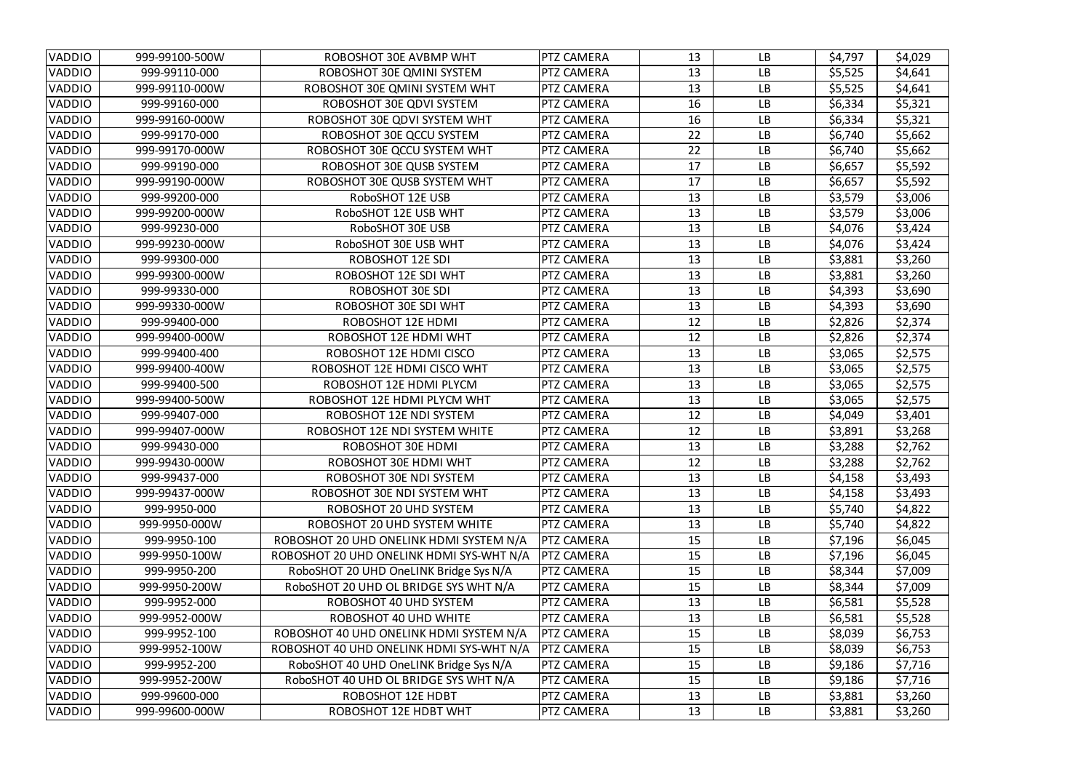| <b>VADDIO</b> | 999-99100-500W | ROBOSHOT 30E AVBMP WHT                   | <b>PTZ CAMERA</b> | 13 | <b>LB</b> | \$4,797 | \$4,029 |
|---------------|----------------|------------------------------------------|-------------------|----|-----------|---------|---------|
| <b>VADDIO</b> | 999-99110-000  | ROBOSHOT 30E QMINI SYSTEM                | PTZ CAMERA        | 13 | <b>LB</b> | \$5,525 | \$4,641 |
| <b>VADDIO</b> | 999-99110-000W | ROBOSHOT 30E QMINI SYSTEM WHT            | PTZ CAMERA        | 13 | <b>LB</b> | \$5,525 | \$4,641 |
| <b>VADDIO</b> | 999-99160-000  | ROBOSHOT 30E QDVI SYSTEM                 | PTZ CAMERA        | 16 | <b>LB</b> | \$6,334 | \$5,321 |
| <b>VADDIO</b> | 999-99160-000W | ROBOSHOT 30E QDVI SYSTEM WHT             | PTZ CAMERA        | 16 | <b>LB</b> | \$6,334 | \$5,321 |
| <b>VADDIO</b> | 999-99170-000  | ROBOSHOT 30E QCCU SYSTEM                 | PTZ CAMERA        | 22 | <b>LB</b> | \$6,740 | \$5,662 |
| <b>VADDIO</b> | 999-99170-000W | ROBOSHOT 30E QCCU SYSTEM WHT             | <b>PTZ CAMERA</b> | 22 | <b>LB</b> | \$6,740 | \$5,662 |
| <b>VADDIO</b> | 999-99190-000  | ROBOSHOT 30E QUSB SYSTEM                 | <b>PTZ CAMERA</b> | 17 | <b>LB</b> | \$6,657 | \$5,592 |
| <b>VADDIO</b> | 999-99190-000W | ROBOSHOT 30E QUSB SYSTEM WHT             | PTZ CAMERA        | 17 | <b>LB</b> | \$6,657 | \$5,592 |
| <b>VADDIO</b> | 999-99200-000  | RoboSHOT 12E USB                         | PTZ CAMERA        | 13 | <b>LB</b> | \$3,579 | \$3,006 |
| <b>VADDIO</b> | 999-99200-000W | RoboSHOT 12E USB WHT                     | PTZ CAMERA        | 13 | <b>LB</b> | \$3,579 | \$3,006 |
| <b>VADDIO</b> | 999-99230-000  | RoboSHOT 30E USB                         | PTZ CAMERA        | 13 | <b>LB</b> | \$4,076 | \$3,424 |
| <b>VADDIO</b> | 999-99230-000W | RoboSHOT 30E USB WHT                     | PTZ CAMERA        | 13 | <b>LB</b> | \$4,076 | \$3,424 |
| <b>VADDIO</b> | 999-99300-000  | <b>ROBOSHOT 12E SDI</b>                  | PTZ CAMERA        | 13 | <b>LB</b> | \$3,881 | \$3,260 |
| <b>VADDIO</b> | 999-99300-000W | ROBOSHOT 12E SDI WHT                     | PTZ CAMERA        | 13 | <b>LB</b> | \$3,881 | \$3,260 |
| <b>VADDIO</b> | 999-99330-000  | <b>ROBOSHOT 30E SDI</b>                  | PTZ CAMERA        | 13 | <b>LB</b> | \$4,393 | \$3,690 |
| <b>VADDIO</b> | 999-99330-000W | ROBOSHOT 30E SDI WHT                     | PTZ CAMERA        | 13 | <b>LB</b> | \$4,393 | \$3,690 |
| <b>VADDIO</b> | 999-99400-000  | <b>ROBOSHOT 12E HDMI</b>                 | PTZ CAMERA        | 12 | <b>LB</b> | \$2,826 | \$2,374 |
| <b>VADDIO</b> | 999-99400-000W | ROBOSHOT 12E HDMI WHT                    | PTZ CAMERA        | 12 | <b>LB</b> | \$2,826 | \$2,374 |
| <b>VADDIO</b> | 999-99400-400  | ROBOSHOT 12E HDMI CISCO                  | PTZ CAMERA        | 13 | <b>LB</b> | \$3,065 | \$2,575 |
| <b>VADDIO</b> | 999-99400-400W | ROBOSHOT 12E HDMI CISCO WHT              | PTZ CAMERA        | 13 | <b>LB</b> | \$3,065 | \$2,575 |
| <b>VADDIO</b> | 999-99400-500  | ROBOSHOT 12E HDMI PLYCM                  | PTZ CAMERA        | 13 | <b>LB</b> | \$3,065 | \$2,575 |
| <b>VADDIO</b> | 999-99400-500W | ROBOSHOT 12E HDMI PLYCM WHT              | PTZ CAMERA        | 13 | <b>LB</b> | \$3,065 | \$2,575 |
| <b>VADDIO</b> | 999-99407-000  | ROBOSHOT 12E NDI SYSTEM                  | PTZ CAMERA        | 12 | <b>LB</b> | \$4,049 | \$3,401 |
| <b>VADDIO</b> | 999-99407-000W | ROBOSHOT 12E NDI SYSTEM WHITE            | <b>PTZ CAMERA</b> | 12 | <b>LB</b> | \$3,891 | \$3,268 |
| <b>VADDIO</b> | 999-99430-000  | <b>ROBOSHOT 30E HDMI</b>                 | <b>PTZ CAMERA</b> | 13 | <b>LB</b> | \$3,288 | \$2,762 |
| <b>VADDIO</b> | 999-99430-000W | ROBOSHOT 30E HDMI WHT                    | <b>PTZ CAMERA</b> | 12 | <b>LB</b> | \$3,288 | \$2,762 |
| <b>VADDIO</b> | 999-99437-000  | ROBOSHOT 30E NDI SYSTEM                  | PTZ CAMERA        | 13 | <b>LB</b> | \$4,158 | \$3,493 |
| <b>VADDIO</b> | 999-99437-000W | ROBOSHOT 30E NDI SYSTEM WHT              | PTZ CAMERA        | 13 | <b>LB</b> | \$4,158 | \$3,493 |
| <b>VADDIO</b> | 999-9950-000   | ROBOSHOT 20 UHD SYSTEM                   | PTZ CAMERA        | 13 | <b>LB</b> | \$5,740 | \$4,822 |
| <b>VADDIO</b> | 999-9950-000W  | ROBOSHOT 20 UHD SYSTEM WHITE             | <b>PTZ CAMERA</b> | 13 | <b>LB</b> | \$5,740 | \$4,822 |
| <b>VADDIO</b> | 999-9950-100   | ROBOSHOT 20 UHD ONELINK HDMI SYSTEM N/A  | <b>PTZ CAMERA</b> | 15 | <b>LB</b> | \$7,196 | \$6,045 |
| <b>VADDIO</b> | 999-9950-100W  | ROBOSHOT 20 UHD ONELINK HDMI SYS-WHT N/A | <b>PTZ CAMERA</b> | 15 | <b>LB</b> | \$7,196 | \$6,045 |
| <b>VADDIO</b> | 999-9950-200   | RoboSHOT 20 UHD OneLINK Bridge Sys N/A   | <b>PTZ CAMERA</b> | 15 | <b>LB</b> | \$8,344 | \$7,009 |
| <b>VADDIO</b> | 999-9950-200W  | RoboSHOT 20 UHD OL BRIDGE SYS WHT N/A    | <b>PTZ CAMERA</b> | 15 | <b>LB</b> | \$8,344 | \$7,009 |
| <b>VADDIO</b> | 999-9952-000   | ROBOSHOT 40 UHD SYSTEM                   | <b>PTZ CAMERA</b> | 13 | <b>LB</b> | \$6,581 | \$5,528 |
| <b>VADDIO</b> | 999-9952-000W  | ROBOSHOT 40 UHD WHITE                    | <b>PTZ CAMERA</b> | 13 | <b>LB</b> | \$6,581 | \$5,528 |
| <b>VADDIO</b> | 999-9952-100   | ROBOSHOT 40 UHD ONELINK HDMI SYSTEM N/A  | <b>PTZ CAMERA</b> | 15 | <b>LB</b> | \$8,039 | \$6,753 |
| <b>VADDIO</b> | 999-9952-100W  | ROBOSHOT 40 UHD ONELINK HDMI SYS-WHT N/A | <b>PTZ CAMERA</b> | 15 | <b>LB</b> | \$8,039 | \$6,753 |
| <b>VADDIO</b> | 999-9952-200   | RoboSHOT 40 UHD OneLINK Bridge Sys N/A   | <b>PTZ CAMERA</b> | 15 | <b>LB</b> | \$9,186 | \$7,716 |
| <b>VADDIO</b> | 999-9952-200W  | RoboSHOT 40 UHD OL BRIDGE SYS WHT N/A    | <b>PTZ CAMERA</b> | 15 | <b>LB</b> | \$9,186 | \$7,716 |
| <b>VADDIO</b> | 999-99600-000  | ROBOSHOT 12E HDBT                        | PTZ CAMERA        | 13 | <b>LB</b> | \$3,881 | \$3,260 |
| <b>VADDIO</b> | 999-99600-000W | ROBOSHOT 12E HDBT WHT                    | <b>PTZ CAMERA</b> | 13 | LB        | \$3,881 | \$3,260 |